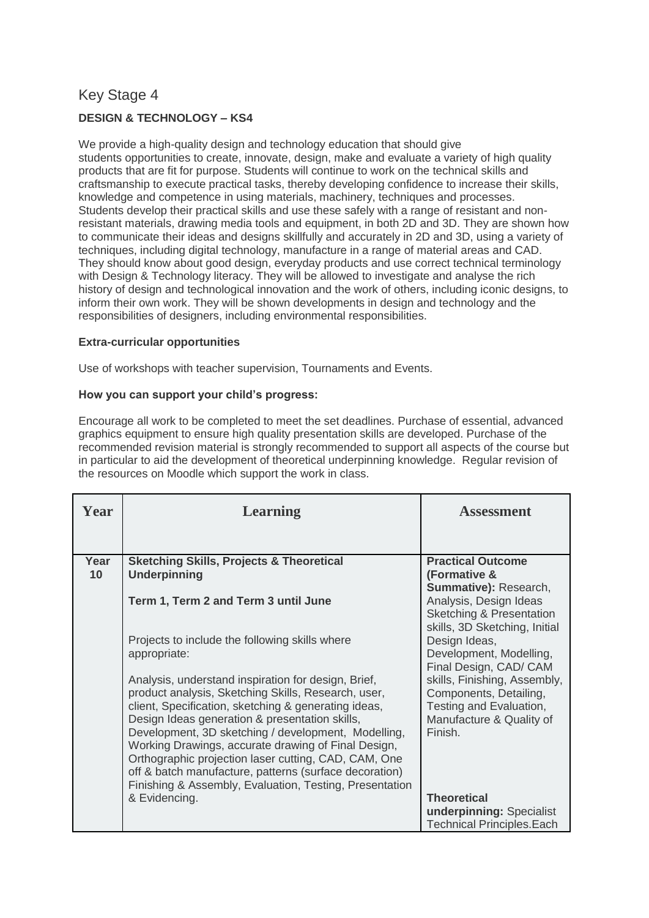# Key Stage 4

# **DESIGN & TECHNOLOGY – KS4**

We provide a high-quality design and technology education that should give students opportunities to create, innovate, design, make and evaluate a variety of high quality products that are fit for purpose. Students will continue to work on the technical skills and craftsmanship to execute practical tasks, thereby developing confidence to increase their skills, knowledge and competence in using materials, machinery, techniques and processes. Students develop their practical skills and use these safely with a range of resistant and nonresistant materials, drawing media tools and equipment, in both 2D and 3D. They are shown how to communicate their ideas and designs skillfully and accurately in 2D and 3D, using a variety of techniques, including digital technology, manufacture in a range of material areas and CAD. They should know about good design, everyday products and use correct technical terminology with Design & Technology literacy. They will be allowed to investigate and analyse the rich history of design and technological innovation and the work of others, including iconic designs, to inform their own work. They will be shown developments in design and technology and the responsibilities of designers, including environmental responsibilities.

# **Extra-curricular opportunities**

Use of workshops with teacher supervision, Tournaments and Events.

# **How you can support your child's progress:**

Encourage all work to be completed to meet the set deadlines. Purchase of essential, advanced graphics equipment to ensure high quality presentation skills are developed. Purchase of the recommended revision material is strongly recommended to support all aspects of the course but in particular to aid the development of theoretical underpinning knowledge. Regular revision of the resources on Moodle which support the work in class.

| Year       | <b>Learning</b>                                                                                                                                                                                                                                                                                                                                                                                                                                                                                                 | <b>Assessment</b>                                                                                                       |
|------------|-----------------------------------------------------------------------------------------------------------------------------------------------------------------------------------------------------------------------------------------------------------------------------------------------------------------------------------------------------------------------------------------------------------------------------------------------------------------------------------------------------------------|-------------------------------------------------------------------------------------------------------------------------|
|            |                                                                                                                                                                                                                                                                                                                                                                                                                                                                                                                 |                                                                                                                         |
| Year<br>10 | <b>Sketching Skills, Projects &amp; Theoretical</b><br><b>Underpinning</b>                                                                                                                                                                                                                                                                                                                                                                                                                                      | <b>Practical Outcome</b><br>(Formative &                                                                                |
|            | Term 1, Term 2 and Term 3 until June                                                                                                                                                                                                                                                                                                                                                                                                                                                                            | Summative): Research,<br>Analysis, Design Ideas<br><b>Sketching &amp; Presentation</b><br>skills, 3D Sketching, Initial |
|            | Projects to include the following skills where<br>appropriate:                                                                                                                                                                                                                                                                                                                                                                                                                                                  | Design Ideas,<br>Development, Modelling,<br>Final Design, CAD/ CAM                                                      |
|            | Analysis, understand inspiration for design, Brief,<br>product analysis, Sketching Skills, Research, user,<br>client, Specification, sketching & generating ideas,<br>Design Ideas generation & presentation skills,<br>Development, 3D sketching / development, Modelling,<br>Working Drawings, accurate drawing of Final Design,<br>Orthographic projection laser cutting, CAD, CAM, One<br>off & batch manufacture, patterns (surface decoration)<br>Finishing & Assembly, Evaluation, Testing, Presentation | skills, Finishing, Assembly,<br>Components, Detailing,<br>Testing and Evaluation,<br>Manufacture & Quality of<br>Finish |
|            | & Evidencing.                                                                                                                                                                                                                                                                                                                                                                                                                                                                                                   | <b>Theoretical</b><br>underpinning: Specialist<br><b>Technical Principles.Each</b>                                      |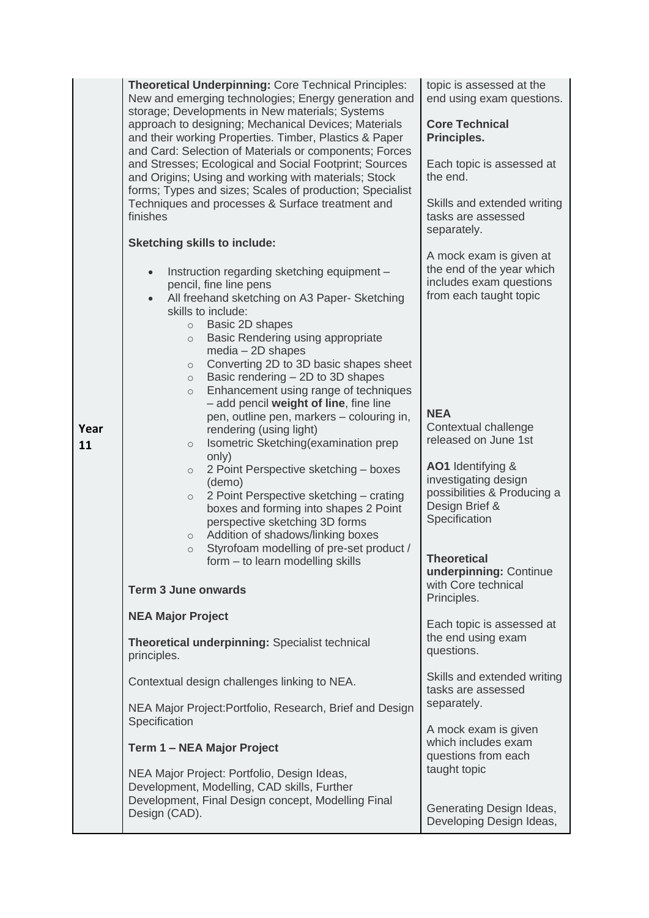| Year<br>11 | Theoretical Underpinning: Core Technical Principles:<br>New and emerging technologies; Energy generation and<br>storage; Developments in New materials; Systems<br>approach to designing; Mechanical Devices; Materials<br>and their working Properties. Timber, Plastics & Paper<br>and Card: Selection of Materials or components; Forces<br>and Stresses; Ecological and Social Footprint; Sources<br>and Origins; Using and working with materials; Stock<br>forms; Types and sizes; Scales of production; Specialist<br>Techniques and processes & Surface treatment and<br>finishes<br><b>Sketching skills to include:</b><br>Instruction regarding sketching equipment -<br>$\bullet$<br>pencil, fine line pens<br>All freehand sketching on A3 Paper- Sketching<br>$\bullet$<br>skills to include:<br>Basic 2D shapes<br>$\circ$<br>Basic Rendering using appropriate<br>$\circ$<br>$media - 2D shapes$<br>Converting 2D to 3D basic shapes sheet<br>$\circ$<br>Basic rendering - 2D to 3D shapes<br>$\circ$<br>Enhancement using range of techniques<br>$\circ$<br>- add pencil weight of line, fine line<br>pen, outline pen, markers - colouring in,<br>rendering (using light)<br>Isometric Sketching(examination prep<br>$\circ$<br>only)<br>2 Point Perspective sketching - boxes<br>$\circ$<br>(demo)<br>2 Point Perspective sketching - crating<br>$\circ$<br>boxes and forming into shapes 2 Point | topic is assessed at the<br>end using exam questions.<br><b>Core Technical</b><br>Principles.<br>Each topic is assessed at<br>the end.<br>Skills and extended writing<br>tasks are assessed<br>separately.<br>A mock exam is given at<br>the end of the year which<br>includes exam questions<br>from each taught topic<br><b>NEA</b><br>Contextual challenge<br>released on June 1st<br>AO1 Identifying &<br>investigating design<br>possibilities & Producing a<br>Design Brief &<br>Specification |
|------------|---------------------------------------------------------------------------------------------------------------------------------------------------------------------------------------------------------------------------------------------------------------------------------------------------------------------------------------------------------------------------------------------------------------------------------------------------------------------------------------------------------------------------------------------------------------------------------------------------------------------------------------------------------------------------------------------------------------------------------------------------------------------------------------------------------------------------------------------------------------------------------------------------------------------------------------------------------------------------------------------------------------------------------------------------------------------------------------------------------------------------------------------------------------------------------------------------------------------------------------------------------------------------------------------------------------------------------------------------------------------------------------------------------------------|------------------------------------------------------------------------------------------------------------------------------------------------------------------------------------------------------------------------------------------------------------------------------------------------------------------------------------------------------------------------------------------------------------------------------------------------------------------------------------------------------|
|            | perspective sketching 3D forms<br>Addition of shadows/linking boxes<br>$\circ$<br>Styrofoam modelling of pre-set product /<br>$\circ$<br>form - to learn modelling skills                                                                                                                                                                                                                                                                                                                                                                                                                                                                                                                                                                                                                                                                                                                                                                                                                                                                                                                                                                                                                                                                                                                                                                                                                                           | <b>Theoretical</b>                                                                                                                                                                                                                                                                                                                                                                                                                                                                                   |
|            | <b>Term 3 June onwards</b>                                                                                                                                                                                                                                                                                                                                                                                                                                                                                                                                                                                                                                                                                                                                                                                                                                                                                                                                                                                                                                                                                                                                                                                                                                                                                                                                                                                          | underpinning: Continue<br>with Core technical<br>Principles.                                                                                                                                                                                                                                                                                                                                                                                                                                         |
|            | <b>NEA Major Project</b><br>Theoretical underpinning: Specialist technical                                                                                                                                                                                                                                                                                                                                                                                                                                                                                                                                                                                                                                                                                                                                                                                                                                                                                                                                                                                                                                                                                                                                                                                                                                                                                                                                          | Each topic is assessed at<br>the end using exam                                                                                                                                                                                                                                                                                                                                                                                                                                                      |
|            | principles.                                                                                                                                                                                                                                                                                                                                                                                                                                                                                                                                                                                                                                                                                                                                                                                                                                                                                                                                                                                                                                                                                                                                                                                                                                                                                                                                                                                                         | questions.                                                                                                                                                                                                                                                                                                                                                                                                                                                                                           |
|            | Contextual design challenges linking to NEA.                                                                                                                                                                                                                                                                                                                                                                                                                                                                                                                                                                                                                                                                                                                                                                                                                                                                                                                                                                                                                                                                                                                                                                                                                                                                                                                                                                        | Skills and extended writing<br>tasks are assessed                                                                                                                                                                                                                                                                                                                                                                                                                                                    |
|            | NEA Major Project: Portfolio, Research, Brief and Design<br>Specification                                                                                                                                                                                                                                                                                                                                                                                                                                                                                                                                                                                                                                                                                                                                                                                                                                                                                                                                                                                                                                                                                                                                                                                                                                                                                                                                           | separately.                                                                                                                                                                                                                                                                                                                                                                                                                                                                                          |
|            | Term 1 - NEA Major Project                                                                                                                                                                                                                                                                                                                                                                                                                                                                                                                                                                                                                                                                                                                                                                                                                                                                                                                                                                                                                                                                                                                                                                                                                                                                                                                                                                                          | A mock exam is given<br>which includes exam<br>questions from each                                                                                                                                                                                                                                                                                                                                                                                                                                   |
|            | NEA Major Project: Portfolio, Design Ideas,<br>Development, Modelling, CAD skills, Further<br>Development, Final Design concept, Modelling Final<br>Design (CAD).                                                                                                                                                                                                                                                                                                                                                                                                                                                                                                                                                                                                                                                                                                                                                                                                                                                                                                                                                                                                                                                                                                                                                                                                                                                   | taught topic<br>Generating Design Ideas,<br>Developing Design Ideas,                                                                                                                                                                                                                                                                                                                                                                                                                                 |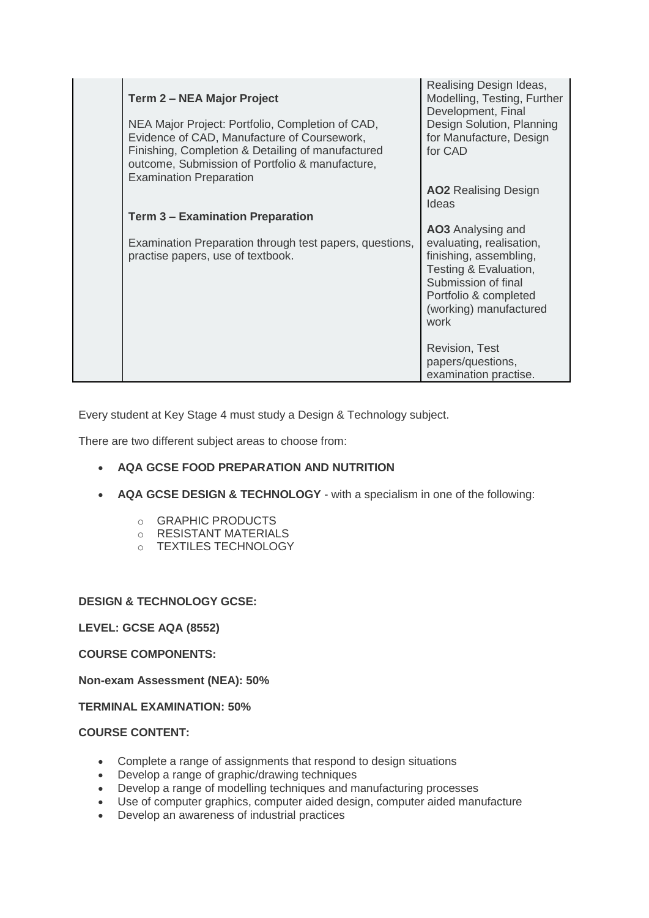| <b>Term 2 – NEA Major Project</b><br>NEA Major Project: Portfolio, Completion of CAD,<br>Evidence of CAD, Manufacture of Coursework,<br>Finishing, Completion & Detailing of manufactured<br>outcome, Submission of Portfolio & manufacture,<br><b>Examination Preparation</b> | Realising Design Ideas,<br>Modelling, Testing, Further<br>Development, Final<br>Design Solution, Planning<br>for Manufacture, Design<br>for CAD                                           |
|--------------------------------------------------------------------------------------------------------------------------------------------------------------------------------------------------------------------------------------------------------------------------------|-------------------------------------------------------------------------------------------------------------------------------------------------------------------------------------------|
|                                                                                                                                                                                                                                                                                | <b>AO2</b> Realising Design<br>Ideas                                                                                                                                                      |
| <b>Term 3 - Examination Preparation</b>                                                                                                                                                                                                                                        |                                                                                                                                                                                           |
| Examination Preparation through test papers, questions,<br>practise papers, use of textbook.                                                                                                                                                                                   | <b>AO3</b> Analysing and<br>evaluating, realisation,<br>finishing, assembling,<br>Testing & Evaluation,<br>Submission of final<br>Portfolio & completed<br>(working) manufactured<br>work |
|                                                                                                                                                                                                                                                                                | <b>Revision, Test</b><br>papers/questions,<br>examination practise.                                                                                                                       |

Every student at Key Stage 4 must study a Design & Technology subject.

There are two different subject areas to choose from:

# **AQA GCSE FOOD PREPARATION AND NUTRITION**

- **AQA GCSE DESIGN & TECHNOLOGY** with a specialism in one of the following:
	- o GRAPHIC PRODUCTS
	- o RESISTANT MATERIALS
	- o TEXTILES TECHNOLOGY

**DESIGN & TECHNOLOGY GCSE:**

**LEVEL: GCSE AQA (8552)**

**COURSE COMPONENTS:**

**Non-exam Assessment (NEA): 50%**

**TERMINAL EXAMINATION: 50%**

# **COURSE CONTENT:**

- Complete a range of assignments that respond to design situations
- Develop a range of graphic/drawing techniques
- Develop a range of modelling techniques and manufacturing processes
- Use of computer graphics, computer aided design, computer aided manufacture
- Develop an awareness of industrial practices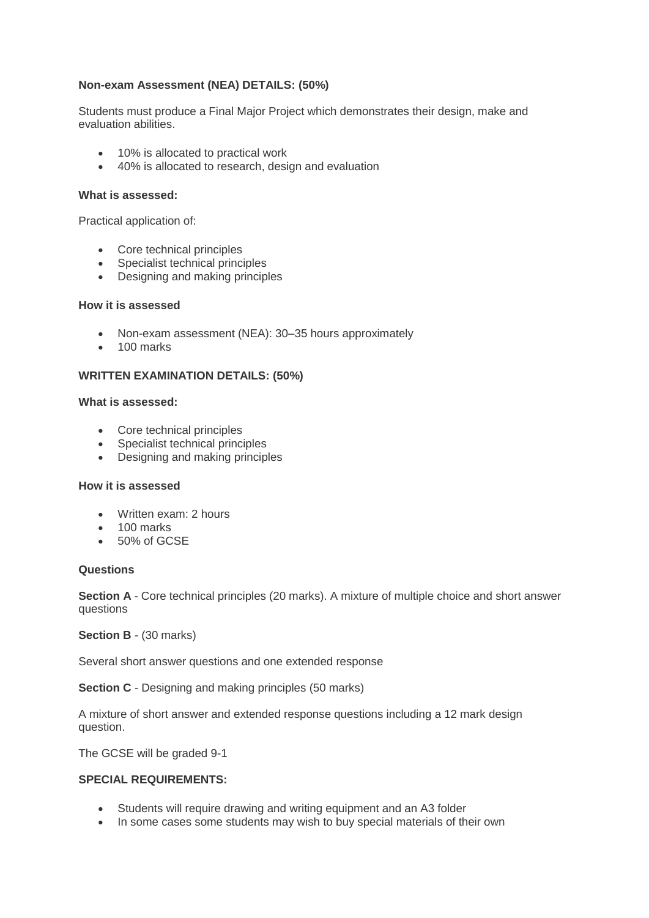# **Non-exam Assessment (NEA) DETAILS: (50%)**

Students must produce a Final Major Project which demonstrates their design, make and evaluation abilities.

- 10% is allocated to practical work
- 40% is allocated to research, design and evaluation

#### **What is assessed:**

Practical application of:

- Core technical principles
- Specialist technical principles
- Designing and making principles

#### **How it is assessed**

- Non-exam assessment (NEA): 30–35 hours approximately
- $\bullet$  100 marks

#### **WRITTEN EXAMINATION DETAILS: (50%)**

# **What is assessed:**

- Core technical principles
- Specialist technical principles
- Designing and making principles

#### **How it is assessed**

- Written exam: 2 hours
- 100 marks
- 50% of GCSE

#### **Questions**

**Section A** - Core technical principles (20 marks). A mixture of multiple choice and short answer questions

**Section B** - (30 marks)

Several short answer questions and one extended response

**Section C** - Designing and making principles (50 marks)

A mixture of short answer and extended response questions including a 12 mark design question.

The GCSE will be graded 9-1

# **SPECIAL REQUIREMENTS:**

- Students will require drawing and writing equipment and an A3 folder
- In some cases some students may wish to buy special materials of their own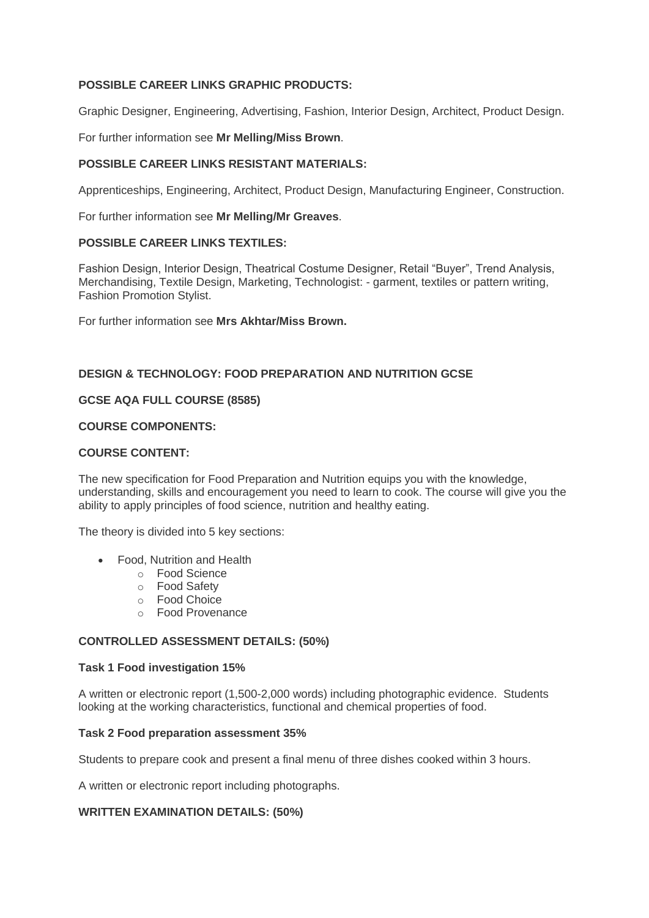# **POSSIBLE CAREER LINKS GRAPHIC PRODUCTS:**

Graphic Designer, Engineering, Advertising, Fashion, Interior Design, Architect, Product Design.

For further information see **Mr Melling/Miss Brown**.

# **POSSIBLE CAREER LINKS RESISTANT MATERIALS:**

Apprenticeships, Engineering, Architect, Product Design, Manufacturing Engineer, Construction.

For further information see **Mr Melling/Mr Greaves**.

# **POSSIBLE CAREER LINKS TEXTILES:**

Fashion Design, Interior Design, Theatrical Costume Designer, Retail "Buyer", Trend Analysis, Merchandising, Textile Design, Marketing, Technologist: - garment, textiles or pattern writing, Fashion Promotion Stylist.

For further information see **Mrs Akhtar/Miss Brown.**

# **DESIGN & TECHNOLOGY: FOOD PREPARATION AND NUTRITION GCSE**

# **GCSE AQA FULL COURSE (8585)**

# **COURSE COMPONENTS:**

# **COURSE CONTENT:**

The new specification for Food Preparation and Nutrition equips you with the knowledge, understanding, skills and encouragement you need to learn to cook. The course will give you the ability to apply principles of food science, nutrition and healthy eating.

The theory is divided into 5 key sections:

- Food, Nutrition and Health
	- o Food Science
	- o Food Safety
	- o Food Choice
	- o Food Provenance

# **CONTROLLED ASSESSMENT DETAILS: (50%)**

#### **Task 1 Food investigation 15%**

A written or electronic report (1,500-2,000 words) including photographic evidence. Students looking at the working characteristics, functional and chemical properties of food.

# **Task 2 Food preparation assessment 35%**

Students to prepare cook and present a final menu of three dishes cooked within 3 hours.

A written or electronic report including photographs.

# **WRITTEN EXAMINATION DETAILS: (50%)**